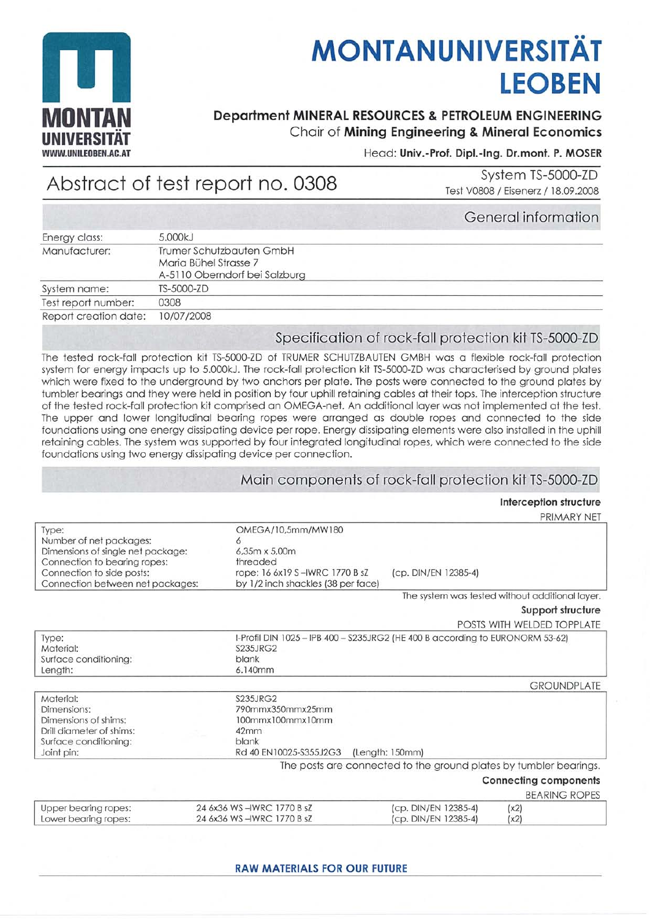

# **MONTANUNIVERSITÄT LEOBEN**

# **Department MINERAL RESOURCES & PETROLEUM ENGINEERING** Chair of Mining Engineering & Mineral Economics

Head: Univ.-Prof. Dipl.-Ing. Dr.mont. P. MOSER

# Abstract of test report no. 0308

System TS-5000-ZD Test V0808 / Eisenerz / 18.09.2008

|                       |                                                                                    | General informatio |
|-----------------------|------------------------------------------------------------------------------------|--------------------|
| Energy class:         | 5.000kJ                                                                            |                    |
| Manufacturer:         | Trumer Schutzbauten GmbH<br>Maria Bühel Strasse 7<br>A-5110 Oberndorf bei Salzburg |                    |
| System name:          | TS-5000-ZD                                                                         |                    |
| Test report number:   | 0308                                                                               |                    |
| Report creation date: | 10/07/2008                                                                         |                    |
|                       |                                                                                    |                    |

# Specification of rock-fall protection kit TS-5000-ZD

The tested rock-fall protection kit TS-5000-ZD of TRUMER SCHUTZBAUTEN GMBH was a flexible rock-fall protection system for energy impacts up to 5.000kJ. The rock-fall protection kit TS-5000-ZD was characterised by ground plates which were fixed to the underground by two anchors per plate. The posts were connected to the ground plates by tumbler bearings and they were held in position by four uphill retaining cables at their tops. The interception structure of the tested rock-fall protection kit comprised an OMEGA-net. An additional layer was not implemented at the test. The upper and lower longitudinal bearing ropes were arranged as double ropes and connected to the side foundations using one energy dissipating device per rope. Energy dissipating elements were also installed in the uphill retaining cables. The system was supported by four integrated longitudinal ropes, which were connected to the side foundations using two energy dissipating device per connection.

#### Main components of rock-fall protection kit TS-5000-ZD

#### Interception structure

PRIMARY NET

| Type:                             | OMEGA/10,5mm/MW180                                                            |                                                                   |                                                 |
|-----------------------------------|-------------------------------------------------------------------------------|-------------------------------------------------------------------|-------------------------------------------------|
| Number of net packages:           |                                                                               |                                                                   |                                                 |
| Dimensions of single net package: | 6.35m x 5.00m                                                                 |                                                                   |                                                 |
| Connection to bearing ropes:      | threaded                                                                      |                                                                   |                                                 |
| Connection to side posts:         | rope: 16 6x19 S-IWRC 1770 B sZ                                                | (cp. DIN/EN 12385-4)                                              |                                                 |
| Connection between net packages:  | by 1/2 inch shackles (38 per face)                                            |                                                                   |                                                 |
|                                   |                                                                               |                                                                   | The system was tested without additional layer. |
|                                   |                                                                               |                                                                   | Support structure                               |
|                                   |                                                                               |                                                                   | POSTS WITH WELDED TOPPLATE                      |
| Type:                             | I-Profil DIN 1025 - IPB 400 - S235JRG2 (HE 400 B according to EURONORM 53-62) |                                                                   |                                                 |
| Material:                         | <b>S235JRG2</b>                                                               |                                                                   |                                                 |
| Surface conditioning:             | blank                                                                         |                                                                   |                                                 |
| Length:                           | 6.140mm                                                                       |                                                                   |                                                 |
|                                   |                                                                               |                                                                   | <b>GROUNDPLATE</b>                              |
| Material:                         | <b>S235JRG2</b>                                                               |                                                                   |                                                 |
| Dimensions:                       | 790mmx350mmx25mm                                                              |                                                                   |                                                 |
| Dimensions of shims:              | 100mmx100mmx10mm                                                              |                                                                   |                                                 |
| Drill diameter of shims:          | 42mm                                                                          |                                                                   |                                                 |
| Surface conditioning:             | blank                                                                         |                                                                   |                                                 |
| Joint pin:                        | Rd 40 EN10025-S355J2G3                                                        | (Length: 150mm)                                                   |                                                 |
|                                   |                                                                               | The posts are connected to the ground plates by tumbler bearings. |                                                 |
|                                   |                                                                               |                                                                   | <b>Connecting components</b>                    |
|                                   |                                                                               |                                                                   | <b>BEARING ROPES</b>                            |
| Upper bearing ropes:              | 24 6x36 WS-IWRC 1770 B sZ                                                     | (cp. DIN/EN 12385-4)                                              | (x2)                                            |
| Lower bearing ropes:              | 24 6x36 WS-IWRC 1770 B sZ                                                     | (cp. DIN/EN 12385-4)                                              | (x2)                                            |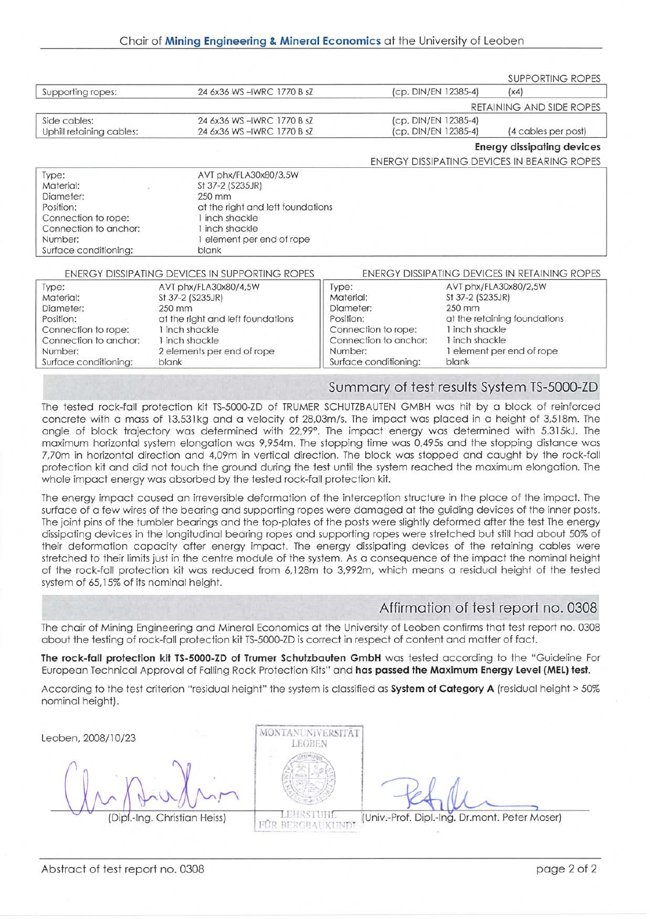|                                                                                                                                  |                                                                                                                                                                  |                    |                                              | SUPPORTING ROPES                              |
|----------------------------------------------------------------------------------------------------------------------------------|------------------------------------------------------------------------------------------------------------------------------------------------------------------|--------------------|----------------------------------------------|-----------------------------------------------|
| Supporting ropes:                                                                                                                | 24 6x36 WS-IWRC 1770 B sZ                                                                                                                                        |                    | (cp. DIN/EN 12385-4)                         | (x4)                                          |
|                                                                                                                                  |                                                                                                                                                                  |                    |                                              | RETAINING AND SIDE ROPES                      |
| Side cables:<br>Uphill retaining cables:                                                                                         | 24 6x36 WS-IWRC 1770 B sZ<br>24 6x36 WS-IWRC 1770 B sZ                                                                                                           |                    | (cp. DIN/EN 12385-4)<br>(cp. DIN/EN 12385-4) | (4 cables per post)                           |
|                                                                                                                                  |                                                                                                                                                                  |                    |                                              | <b>Energy dissipating devices</b>             |
|                                                                                                                                  |                                                                                                                                                                  |                    |                                              | ENERGY DISSIPATING DEVICES IN BEARING ROPES   |
| Type:<br>Material:<br>Diameter:<br>Position:<br>Connection to rope:<br>Connection to anchor:<br>Number:<br>Surface conditioning: | AVT phx/FLA30x80/3,5W<br>St 37-2 (S235JR)<br>250 mm<br>at the right and left foundations<br>1 inch shackle<br>I inch shackle<br>element per end of rope<br>blank |                    |                                              |                                               |
|                                                                                                                                  | ENERGY DISSIPATING DEVICES IN SUPPORTING ROPES                                                                                                                   |                    |                                              | ENERGY DISSIPATING DEVICES IN RETAINING ROPES |
| Type:<br>Material:                                                                                                               | AVT phx/FLA30x80/4,5W<br>St 37-2 (S235JR)                                                                                                                        | Type:<br>Material: | St 37-2 (S235JR)                             | AVT phx/FLA30x80/2,5W                         |

| Material:             | St 37-2 (S235JR)                  | Material:             | St 37-2 (S235JR)             |  |
|-----------------------|-----------------------------------|-----------------------|------------------------------|--|
| Diameter:             | 250 mm                            | Diameter:             | 250 mm                       |  |
| Position:             | at the right and left foundations | Position:             | at the retaining foundations |  |
| Connection to rope:   | I inch shackle                    | Connection to rope:   | 1 inch shackle               |  |
| Connection to anchor: | inch shackle                      | Connection to anchor: | 1 inch shackle               |  |
| Number:               | 2 elements per end of rope        | Number:               | I element per end of rope    |  |
| Surface conditioning: | blank                             | Surface conditioning: | blank                        |  |

## Summary of test results System TS-5000-ZD

The tested rock-fall protection kit TS-5000-ZD of TRUMER SCHUTZBAUTEN GMBH was hit by a block of reinforced concrete with a mass of 13.531kg and a velocity of 28,03m/s. The impact was placed in a height of 3,518m. The angle of block trajectory was determined with 22,99°. The impact energy was determined with 5.315kJ. The maximum horizontal system elongation was 9,954m. The stopping time was 0,495s and the stopping distance was 7,70m in horizontal direction and 4,09m in vertical direction. The block was stopped and caught by the rock-fall protection kit and did not touch the ground during the test until the system reached the maximum elongation. The whole impact energy was absorbed by the tested rock-fall protection kit.

The energy impact caused an irreversible deformation of the interception structure in the place of the impact. The surface of a few wires of the bearing and supporting ropes were damaged at the guiding devices of the inner posts. The joint pins of the tumbler bearings and the top-plates of the posts were slightly deformed after the test The energy dissipoting devices in the longitudinol beoring ropes ond supporting ropes were stretched but still hod obout 50% ot their deformotion copocity ofter energy impoct. The energy dissipoting devices of the retoining cobles were stretched fo their limits just in the centre module of the system. As o consequence of the impoct the nominol height of the rock-foll proteclion kif wos reduced from 6,128m Io 3,992m, which meons o residuol heighf of the lested system of 65,15% of its nominol height.

## Affirmation of test report no. 0308

The chair of Mining Engineering and Mineral Economics at the University of Leoben confirms that test report no. 0308 obout the testing of rock-foll protection kit TS-5000-ZD is correct in respecf of contenl ond motler of foct.

The rock-fall protection kit TS-5000-ZD of Trumer Schutzbauten GmbH was tested according to the "Guideline For European Technical Approval of Falling Rock Protection Kits" and has passed the Maximum Energy Level (MEL) test.

According to the test criterion "residual height" the system is classified as System of Category A (residual height > 50% nominal height).



(Dipl.-Ing. Christian Heiss) FOR BERGBAUKUNDT (Univ.-Prof. Dipl.-Ing. Dr.mont. Peter Moser)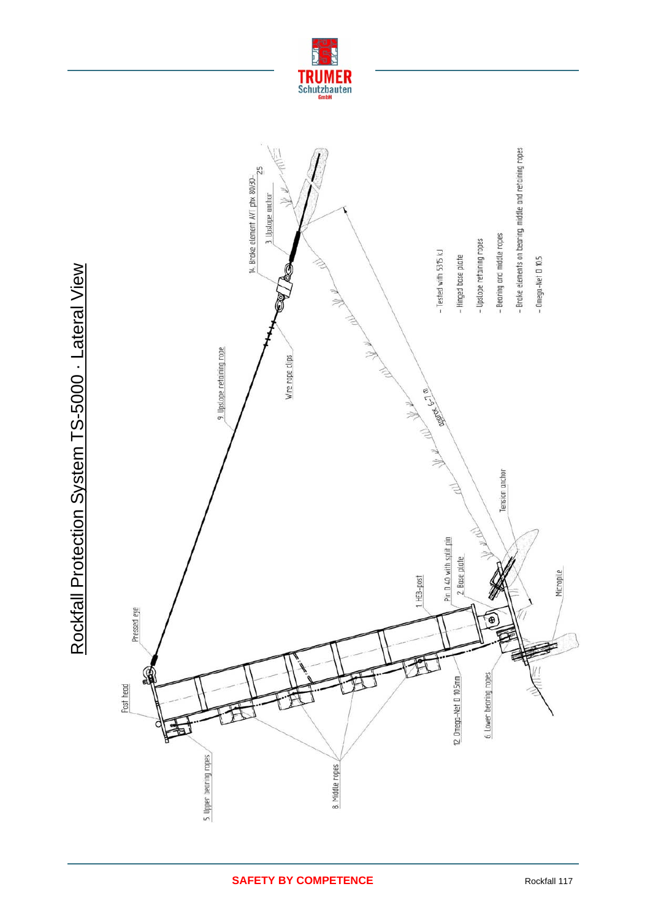



Rockfall Protection System TS-5000 - Lateral View Rockfall Protection System TS-5000 · Lateral View